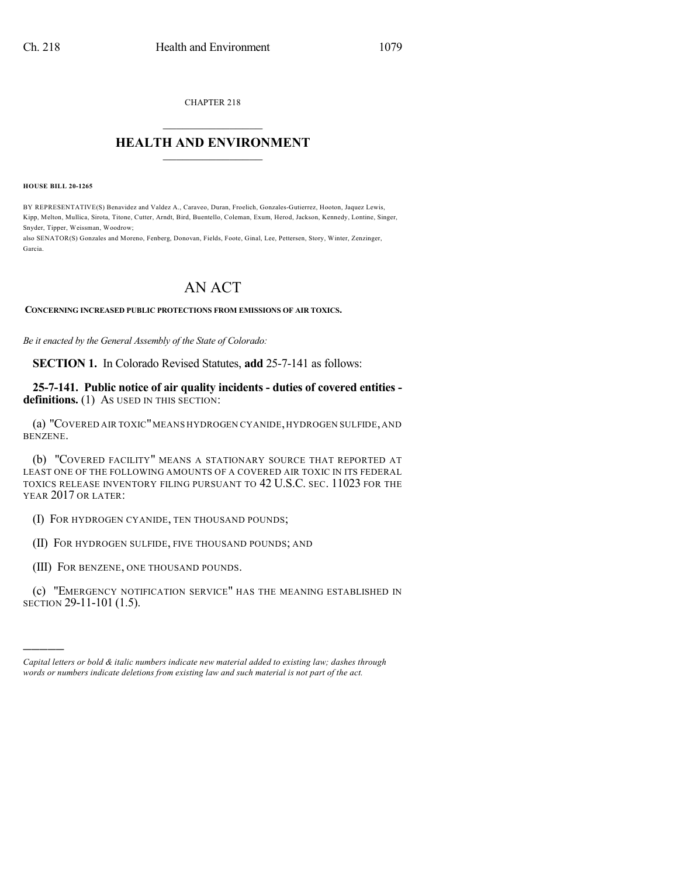CHAPTER 218  $\overline{\phantom{a}}$  . The set of the set of the set of the set of the set of the set of the set of the set of the set of the set of the set of the set of the set of the set of the set of the set of the set of the set of the set o

## **HEALTH AND ENVIRONMENT**  $\_$

**HOUSE BILL 20-1265**

)))))

BY REPRESENTATIVE(S) Benavidez and Valdez A., Caraveo, Duran, Froelich, Gonzales-Gutierrez, Hooton, Jaquez Lewis, Kipp, Melton, Mullica, Sirota, Titone, Cutter, Arndt, Bird, Buentello, Coleman, Exum, Herod, Jackson, Kennedy, Lontine, Singer, Snyder, Tipper, Weissman, Woodrow;

also SENATOR(S) Gonzales and Moreno, Fenberg, Donovan, Fields, Foote, Ginal, Lee, Pettersen, Story, Winter, Zenzinger, Garcia.

## AN ACT

## **CONCERNING INCREASED PUBLIC PROTECTIONS FROM EMISSIONS OF AIR TOXICS.**

*Be it enacted by the General Assembly of the State of Colorado:*

**SECTION 1.** In Colorado Revised Statutes, **add** 25-7-141 as follows:

**25-7-141. Public notice of air quality incidents - duties of covered entities**  definitions. (1) As used in this section:

(a) "COVERED AIR TOXIC"MEANS HYDROGEN CYANIDE,HYDROGEN SULFIDE,AND BENZENE.

(b) "COVERED FACILITY" MEANS A STATIONARY SOURCE THAT REPORTED AT LEAST ONE OF THE FOLLOWING AMOUNTS OF A COVERED AIR TOXIC IN ITS FEDERAL TOXICS RELEASE INVENTORY FILING PURSUANT TO 42 U.S.C. SEC. 11023 FOR THE YEAR 2017 OR LATER:

(I) FOR HYDROGEN CYANIDE, TEN THOUSAND POUNDS;

(II) FOR HYDROGEN SULFIDE, FIVE THOUSAND POUNDS; AND

(III) FOR BENZENE, ONE THOUSAND POUNDS.

(c) "EMERGENCY NOTIFICATION SERVICE" HAS THE MEANING ESTABLISHED IN SECTION 29-11-101 (1.5).

*Capital letters or bold & italic numbers indicate new material added to existing law; dashes through words or numbers indicate deletions from existing law and such material is not part of the act.*